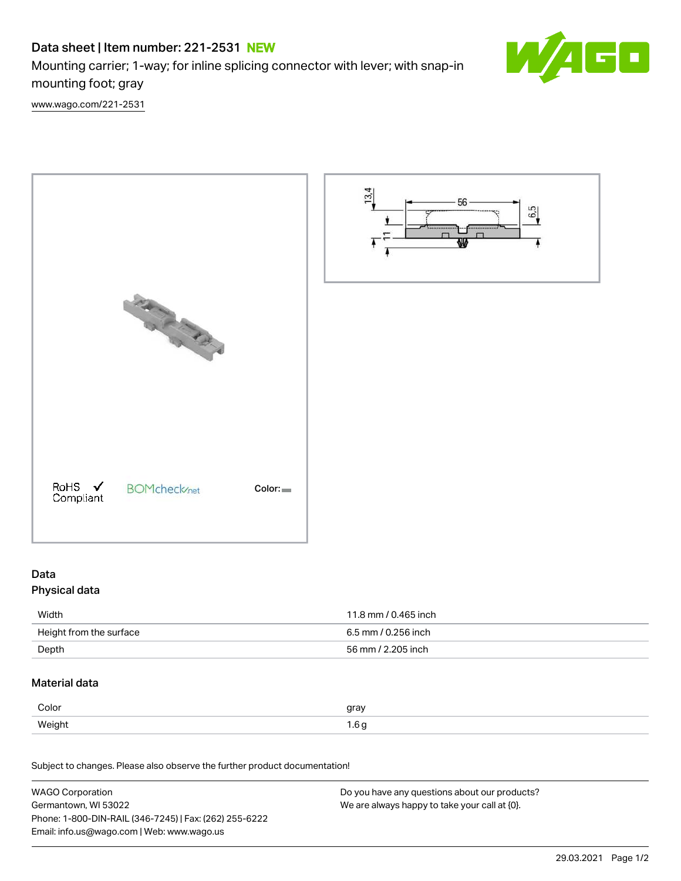# Data sheet | Item number: 221-2531 NEW

Mounting carrier; 1-way; for inline splicing connector with lever; with snap-in mounting foot; gray



[www.wago.com/221-2531](http://www.wago.com/221-2531)



# Data

# Physical data

| Width                   | 11.8 mm / 0.465 inch |
|-------------------------|----------------------|
| Height from the surface | 6.5 mm / 0.256 inch  |
| Depth                   | 56 mm / 2.205 inch   |

# Material data

| Color      | gray<br>$\cdot$ $\cdot$ |
|------------|-------------------------|
| Weight<br> | ש ט.ו                   |

Subject to changes. Please also observe the further product documentation!

| <b>WAGO Corporation</b>                                | Do you have any questions about our products? |
|--------------------------------------------------------|-----------------------------------------------|
| Germantown, WI 53022                                   | We are always happy to take your call at {0}. |
| Phone: 1-800-DIN-RAIL (346-7245)   Fax: (262) 255-6222 |                                               |
| Email: info.us@wago.com   Web: www.wago.us             |                                               |